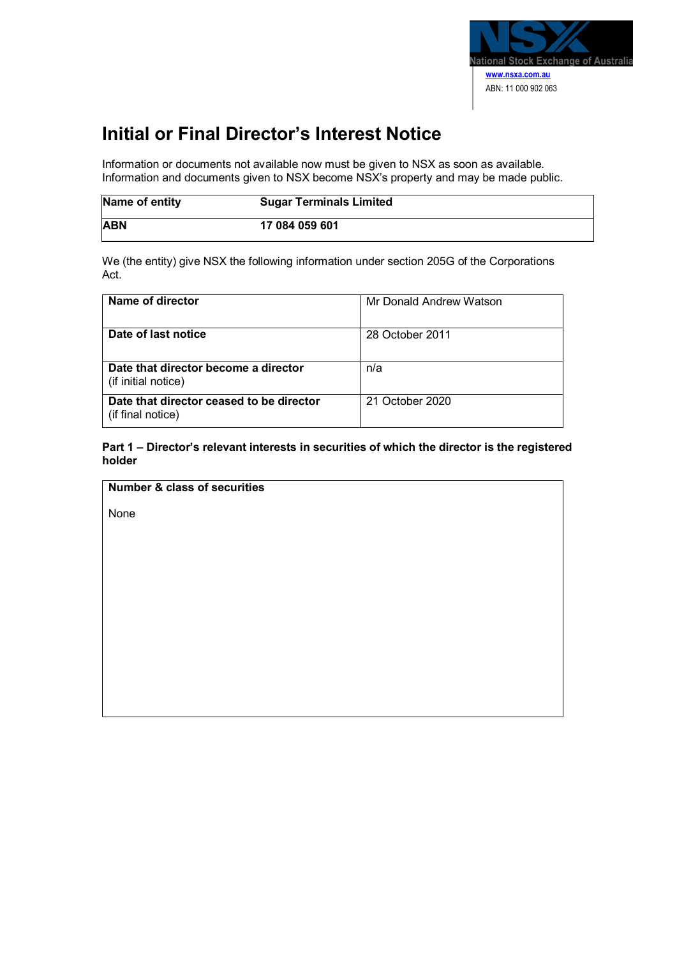

## **Initial or Final Director's Interest Notice**

Information or documents not available now must be given to NSX as soon as available. Information and documents given to NSX become NSX's property and may be made public.

| Name of entity | <b>Sugar Terminals Limited</b> |
|----------------|--------------------------------|
| <b>ABN</b>     | 17 084 059 601                 |

We (the entity) give NSX the following information under section 205G of the Corporations Act.

| Name of director                                              | Mr Donald Andrew Watson |
|---------------------------------------------------------------|-------------------------|
| Date of last notice                                           | 28 October 2011         |
| Date that director become a director<br>(if initial notice)   | n/a                     |
| Date that director ceased to be director<br>(if final notice) | 21 October 2020         |

**Part 1 – Director's relevant interests in securities of which the director is the registered holder**

**Number & class of securities**

None